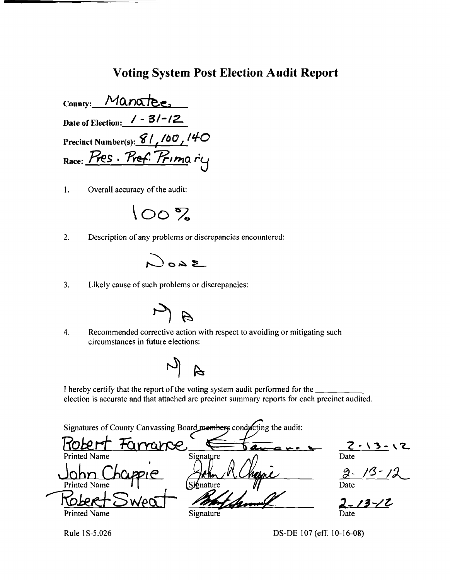## **Voting System Post Election Audit Report**

County: Manatee, Date of Election:  $/ - 3/ - 12$ Precinct Number(s):  $81,100/40$ Race: Pres. Pref. Primary

 $\mathbf{1}$ . Overall accuracy of the audit:



 $2.$ Description of any problems or discrepancies encountered:



 $3.$ Likely cause of such problems or discrepancies:



 $\overline{4}$ . Recommended corrective action with respect to avoiding or mitigating such circumstances in future elections:

 $\frac{1}{2}$ 

I hereby certify that the report of the voting system audit performed for the election is accurate and that attached are precinct summary reports for each precinct audited.

Signatures of County Canvassing Board members conducting the audit:

 $1060$ Farrance,  $\frac{2 \cdot 13 - 12}{\text{Date}}$ Signature  $2.13-12$ <br>Date  $\overline{\text{Sib}}$ nature  $2 - 13 - 12$ **Printed Name** Signature

Rule 1S-5.026

DS-DE 107 (eff. 10-16-08)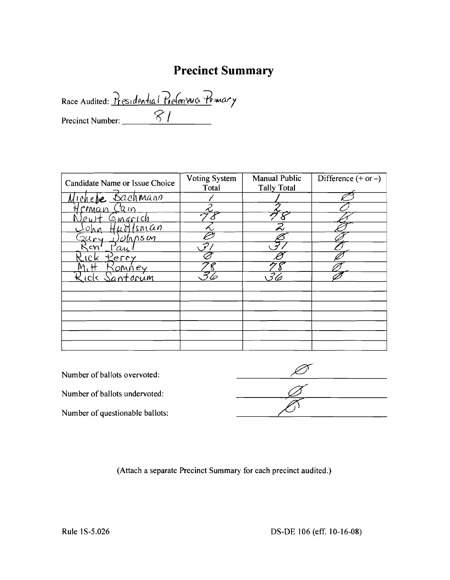# **Precinct Summary**

Race Audited: <u>Presidential Preferrence</u> Primary Precinct Number: *\_\_*I \_

| Candidate Name or Issue Choice     | Voting System<br>Total | Manual Public<br><b>Tally Total</b> | Difference $(+ or -)$ |
|------------------------------------|------------------------|-------------------------------------|-----------------------|
| <u>Bachmann</u><br><u>I Chelre</u> |                        |                                     |                       |
| <u>crman</u><br>$\sqrt{2}$         |                        |                                     |                       |
| $\mathcal{Q}$ in grich             |                        |                                     |                       |
| Isn <u>ic</u> on                   |                        | $\bar{z}$                           |                       |
| <u>UMS</u> M                       |                        |                                     |                       |
| cm<br>'au                          |                        |                                     |                       |
| C K<br>erry                        |                        |                                     |                       |
| íomney                             |                        |                                     |                       |
| Santorum<br><b>icl&lt;</b>         |                        |                                     |                       |
|                                    |                        |                                     |                       |
|                                    |                        |                                     |                       |
|                                    |                        |                                     |                       |
|                                    |                        |                                     |                       |
|                                    |                        |                                     |                       |
|                                    |                        |                                     |                       |
|                                    |                        |                                     |                       |

(Attach a separate Precinct Summary for each precinct audited.)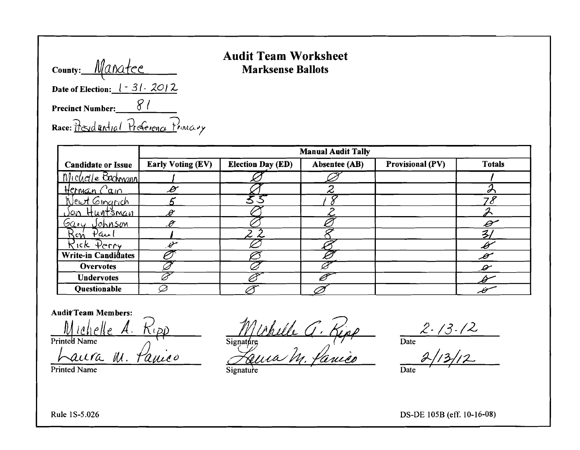| County: <i>Wanatee</i>            |    |
|-----------------------------------|----|
| Date of Election: $1 - 31 - 2012$ |    |
| <b>Precinct Number:</b>           | 81 |

 $\Lambda$ 

 $\mathbf{I}$ 

Race: Presidential Preference Primary

### **Audit Team Worksheet Marksense Ballots**

|                            | <b>Manual Audit Tally</b> |                          |               |                         |                 |  |
|----------------------------|---------------------------|--------------------------|---------------|-------------------------|-----------------|--|
| <b>Candidate or Issue</b>  | <b>Early Voting (EV)</b>  | <b>Election Day (ED)</b> | Absentee (AB) | <b>Provisional (PV)</b> | <b>Totals</b>   |  |
| Michale Bachmann           |                           |                          |               |                         |                 |  |
| Herman Cain                | $\mathscr{B}$             |                          | ∽             |                         |                 |  |
| Newt Ginarich              |                           | 33                       |               |                         |                 |  |
| <u>Jon Huntsman</u>        | Ĥ                         |                          |               |                         |                 |  |
| Gary Johnson               | P                         |                          |               |                         | Ð               |  |
| <u>Kon Paul</u>            |                           |                          |               |                         | $\mathcal{Z}_1$ |  |
| Kick Perry                 | $\mathscr{L}$             |                          |               |                         | B               |  |
| <b>Write-in Candidates</b> |                           |                          |               |                         | $\mathscr{I}$   |  |
| <b>Overvotes</b>           |                           |                          |               |                         | $\mathscr{L}$   |  |
| <b>Undervotes</b>          |                           |                          |               |                         |                 |  |
| Questionable               |                           |                          |               |                         | Ü               |  |

**Audit Team Members:** 

<u>Michelle</u> A.  $K(\rho)$ Printed Name

Laura M. Panico

Printed Name

Muhille G. Kipp

Signature

 $\frac{2.73.72}{\text{Date}}$  $\overline{Date}$ 

Rule 1S-5.026

DS-DE 105B (eff. 10-16-08)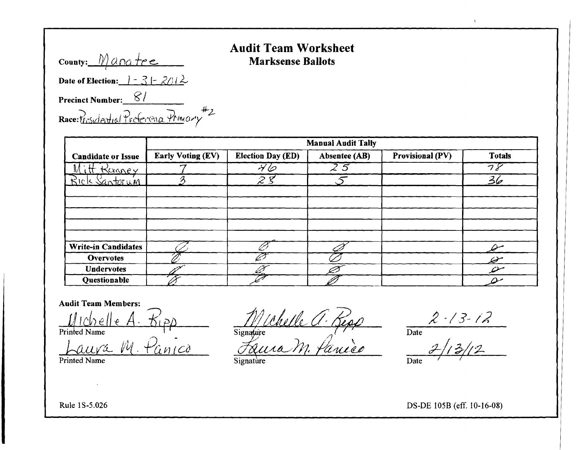|  | <b>Audit Team Worksheet</b> |  |
|--|-----------------------------|--|
|  | <b>Marksense Ballots</b>    |  |

| County: Manatre                                              |
|--------------------------------------------------------------|
| Date of Election: $\frac{1}{2} - \frac{2}{5} - \frac{2}{12}$ |
| Precinct Number: 81                                          |
| Race: trasidential Protocona Primary #2                      |

|                            | <b>Manual Audit Tally</b> |                                                       |                                                  |                         |               |  |
|----------------------------|---------------------------|-------------------------------------------------------|--------------------------------------------------|-------------------------|---------------|--|
| <b>Candidate or Issue</b>  | <b>Early Voting (EV)</b>  | <b>Election Day (ED)</b>                              | Absentee (AB)                                    | <b>Provisional (PV)</b> | <b>Totals</b> |  |
| Kanney                     |                           | 76                                                    | $\overline{\mathcal{Z}}\ \overline{\mathcal{Z}}$ |                         | ラヌ            |  |
| Rick Santorum              |                           | $\boldsymbol{\mathcal{Z}}$ $\boldsymbol{\mathcal{S}}$ |                                                  |                         | 36            |  |
|                            |                           |                                                       |                                                  |                         |               |  |
|                            |                           |                                                       |                                                  |                         |               |  |
|                            |                           |                                                       |                                                  |                         |               |  |
|                            |                           |                                                       |                                                  |                         |               |  |
|                            |                           |                                                       |                                                  |                         |               |  |
| <b>Write-in Candidates</b> |                           |                                                       |                                                  |                         | ملاحم         |  |
| <b>Overvotes</b>           |                           |                                                       |                                                  |                         | Q             |  |
| <b>Undervotes</b>          |                           |                                                       |                                                  |                         | O             |  |
| Questionable               |                           |                                                       |                                                  |                         |               |  |

#### **Audit Team Members:**

Printed Name

A. Kipp<br>M. Panico Jaura

Printed Name

Signature a. Repp

 $\frac{2.13.12}{2.13.12}$ 

 $\mathbf{V}$ 

Date

Signature

DS-DE 105B (eff. 10-16-08)

Rule 1S-5.026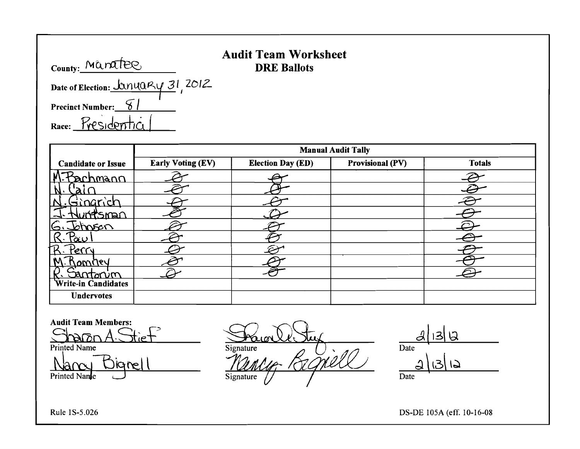# **Audit Team Worksheet**

County: Maratee Date of Election: <u>JanuaRy</u> 31, 2012

Precinct Number:  $\frac{8}{9}$ 

Race: Presidentic

|                           | <b>Manual Audit Tally</b> |                          |                         |               |  |
|---------------------------|---------------------------|--------------------------|-------------------------|---------------|--|
| <b>Candidate or Issue</b> | <b>Early Voting (EV)</b>  | <b>Election Day (ED)</b> | <b>Provisional (PV)</b> | <b>Totals</b> |  |
| Sachmann                  |                           |                          |                         |               |  |
|                           |                           |                          |                         |               |  |
| `narich                   |                           |                          |                         | Z.            |  |
| tsman                     |                           |                          |                         |               |  |
| mosan                     |                           |                          |                         |               |  |
| كتن                       |                           |                          |                         |               |  |
| 'err                      |                           |                          |                         |               |  |
| vernmal                   |                           |                          |                         |               |  |
| antorvin                  |                           |                          |                         |               |  |
| Write-in Candidates       |                           |                          |                         |               |  |
| <b>Undervotes</b>         |                           |                          |                         |               |  |

Audit Team Members:

Audit Team Members:<br>
Sharan A. Stief<br>
Printed Name Signature 2000 2000 Date Date ----=.;..~\ l~\ \ p~J~~~I....:.l\_\_- ~f *4zptv* Date

Rule 1S-5.026 DS-DE 105A (eff. 10-16-08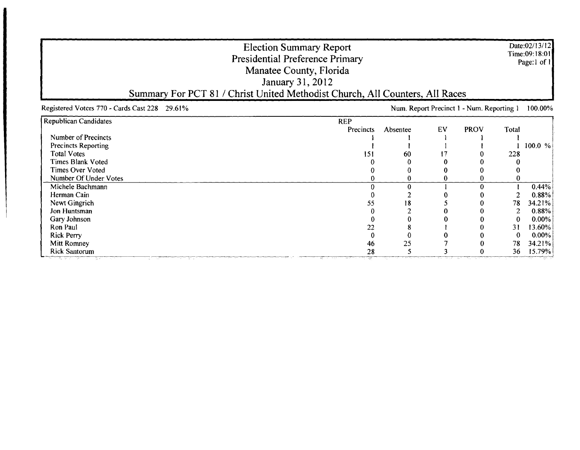|                                               | <b>Election Summary Report</b><br><b>Presidential Preference Primary</b><br>Manatee County, Florida<br>January 31, 2012<br>Summary For PCT 81 / Christ United Methodist Church, All Counters, All Races |          |    |                                           |                | Date:02/13/12<br>Time:09:18:01<br>Page:1 of 1 |
|-----------------------------------------------|---------------------------------------------------------------------------------------------------------------------------------------------------------------------------------------------------------|----------|----|-------------------------------------------|----------------|-----------------------------------------------|
| Registered Voters 770 - Cards Cast 228 29.61% |                                                                                                                                                                                                         |          |    | Num. Report Precinct 1 - Num. Reporting 1 |                | 100.00%                                       |
| Republican Candidates                         | <b>REP</b>                                                                                                                                                                                              |          |    |                                           |                |                                               |
|                                               | Precincts                                                                                                                                                                                               | Absentee | EV | <b>PROV</b>                               | Total          |                                               |
| <b>Number of Precincts</b>                    |                                                                                                                                                                                                         |          |    |                                           |                |                                               |
| <b>Precincts Reporting</b>                    |                                                                                                                                                                                                         |          |    |                                           |                | 100.0 %                                       |
| <b>Total Votes</b>                            | 151                                                                                                                                                                                                     | 60       |    |                                           | 228            |                                               |
| Times Blank Voted                             |                                                                                                                                                                                                         |          |    |                                           |                |                                               |
| <b>Times Over Voted</b>                       |                                                                                                                                                                                                         |          |    |                                           |                |                                               |
| Number Of Under Votes                         |                                                                                                                                                                                                         |          |    |                                           |                |                                               |
| Michele Bachmann                              | n                                                                                                                                                                                                       | O        |    | O                                         |                | 0.44%                                         |
| Herman Cain                                   |                                                                                                                                                                                                         |          |    |                                           |                | 0.88%                                         |
| Newt Gingrich                                 | 55                                                                                                                                                                                                      | 18       |    |                                           | 78             | 34.21%                                        |
| Jon Huntsman                                  |                                                                                                                                                                                                         |          |    |                                           | $\overline{c}$ | 0.88%                                         |
| Gary Johnson                                  |                                                                                                                                                                                                         |          |    |                                           | 0              | $0.00\%$                                      |
| Ron Paul                                      | 22                                                                                                                                                                                                      |          |    |                                           | 31             | 13.60%                                        |
| <b>Rick Perry</b>                             | $\bf{0}$                                                                                                                                                                                                |          |    |                                           | $\bf{0}$       | $0.00\%$                                      |
| Mitt Romney                                   | 46                                                                                                                                                                                                      | 25       |    |                                           | 78             | 34.21%                                        |
| Rick Santorum<br><u>प्राप्तावरूप स्थापि</u>   | 28                                                                                                                                                                                                      |          |    |                                           | 36             | 15.79%                                        |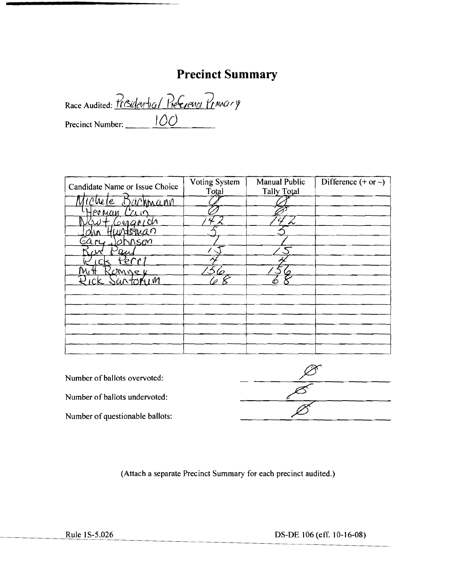# **Precinct Summary**

Race Audited: Presidential Preference Primary Precinct Number: <u>IOO</u>

| Candidate Name or Issue Choice | Voting System<br>Total | Manual Public<br><b>Tally Total</b> | Difference $(+ or -)$ |
|--------------------------------|------------------------|-------------------------------------|-----------------------|
| Tehele Bachmann                |                        |                                     |                       |
| lernan<br>LV.                  |                        |                                     |                       |
| onarich                        |                        |                                     |                       |
| witsman                        |                        |                                     |                       |
| <b>DASCM</b><br>يحلاب<br>Ø     |                        |                                     |                       |
| <u>a</u> u                     |                        |                                     |                       |
| r 1<br>'e                      |                        |                                     |                       |
| <u>'Omner</u>                  |                        |                                     |                       |
| artorum                        |                        |                                     |                       |
|                                |                        |                                     |                       |
|                                |                        |                                     |                       |
|                                |                        |                                     |                       |
|                                |                        |                                     |                       |
|                                |                        |                                     |                       |
|                                |                        |                                     |                       |
|                                |                        |                                     |                       |

| Number of ballots overvoted:    |  |
|---------------------------------|--|
| Number of ballots undervoted:   |  |
| Number of questionable ballots: |  |
|                                 |  |

(Attach a separate Precinct Summary for each precinct audited.)

Rule 1S-5.026 DS-DE 106 (eff. 10-16-08)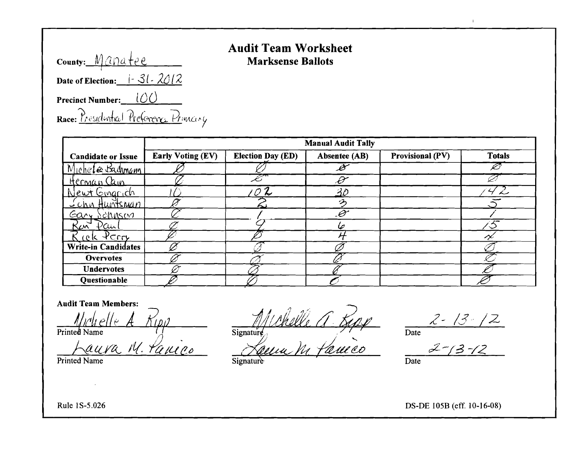| county: Manatee                   |                                        |  |
|-----------------------------------|----------------------------------------|--|
|                                   | Date of Election: $\frac{1}{3}$ . 2012 |  |
| <b>Precinct Number:</b> $\bigcup$ |                                        |  |
|                                   | Race: Presidential Preference Princing |  |

### **Audit Team Worksheet Marksense Ballots**

|                                            | <b>Manual Audit Tally</b> |                          |                          |                         |               |  |  |
|--------------------------------------------|---------------------------|--------------------------|--------------------------|-------------------------|---------------|--|--|
| <b>Candidate or Issue</b>                  | <b>Early Voting (EV)</b>  | <b>Election Day (ED)</b> | Absentee (AB)            | <b>Provisional (PV)</b> | <b>Totals</b> |  |  |
| Michele Badmann                            |                           |                          | $\overline{\mathscr{B}}$ |                         |               |  |  |
| Herman Cain                                |                           |                          | Ð                        |                         |               |  |  |
| Newt Gingrich                              |                           | Z                        | 30                       |                         |               |  |  |
| <u>Schn Huntsman</u>                       |                           |                          | グ                        |                         |               |  |  |
| <u>Gary Schnson</u>                        |                           |                          | $\mathscr{C}$            |                         |               |  |  |
| Ker<br>$\mathcal{V}\mathcal{C}\mathcal{W}$ |                           |                          |                          |                         |               |  |  |
| $4$ Crry<br>rek.                           |                           |                          |                          |                         |               |  |  |
| <b>Write-in Candidates</b>                 |                           |                          |                          |                         |               |  |  |
| <b>Overvotes</b>                           |                           |                          |                          |                         |               |  |  |
| <b>Undervotes</b>                          |                           |                          |                          |                         |               |  |  |
| Questionable                               |                           |                          |                          |                         |               |  |  |

#### **Audit Team Members:**

Printed Name

Laura M. Panico

Signature A 540

 $\overline{\text{Date}}$ 

 $\mathbf{r}$ 

 $\frac{2 - 13 - 12}{\frac{2 - 13 - 12}{2}}$  $\overline{Date}$ 

Signature

Rule 1S-5.026

Printed Name

DS-DE 105B (eff. 10-16-08)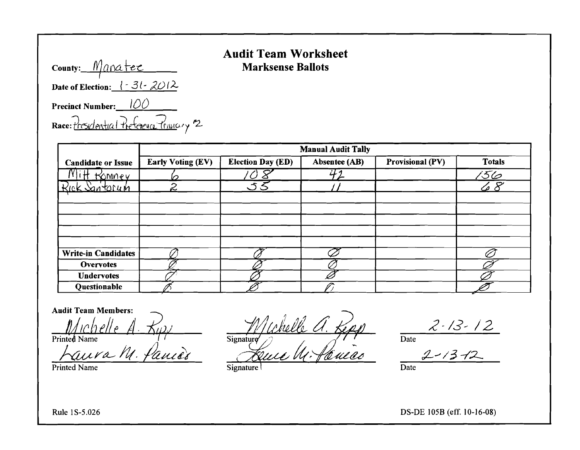**County:** <u>*Manatee* **Marksense Ballots**</u> Date of Election:  $\frac{1}{2}$ .  $\frac{31}{1}$ .  $2012$ . **Precinct Number:** I*DO*  Race: Presidential Preference Trancity 2

# **Audit Team Worksheet**

|                            | <b>Manual Audit Tally</b> |                          |                      |                         |               |  |  |
|----------------------------|---------------------------|--------------------------|----------------------|-------------------------|---------------|--|--|
| <b>Candidate or Issue</b>  | <b>Early Voting (EV)</b>  | <b>Election Day (ED)</b> | <b>Absentee (AB)</b> | <b>Provisional (PV)</b> | <b>Totals</b> |  |  |
| Komney                     |                           |                          | $+2$                 |                         | 156           |  |  |
| Rick Santorun              | 2                         | いろ                       |                      |                         | 28            |  |  |
|                            |                           |                          |                      |                         |               |  |  |
|                            |                           |                          |                      |                         |               |  |  |
|                            |                           |                          |                      |                         |               |  |  |
|                            |                           |                          |                      |                         |               |  |  |
| <b>Write-in Candidates</b> |                           |                          |                      |                         |               |  |  |
| <b>Overvotes</b>           |                           |                          |                      |                         |               |  |  |
| <b>Undervotes</b>          |                           |                          |                      |                         |               |  |  |
| Questionable               |                           |                          |                      |                         |               |  |  |

Printed Name Date Date Signature I and Signature Date Date

Audit Team Members:<br>haven a integral of the Russian of the *Muchelle A. Repp.* 2-13-12<br>have M. fame? Buile M. fameas 2-13-12 Printed Name<br>
<u>Naura M. faure</u><br>
Signature M. faure : Signature M. faure Date

Rule 1S-5.026 DS-DE 105B (eff. 10-16-08)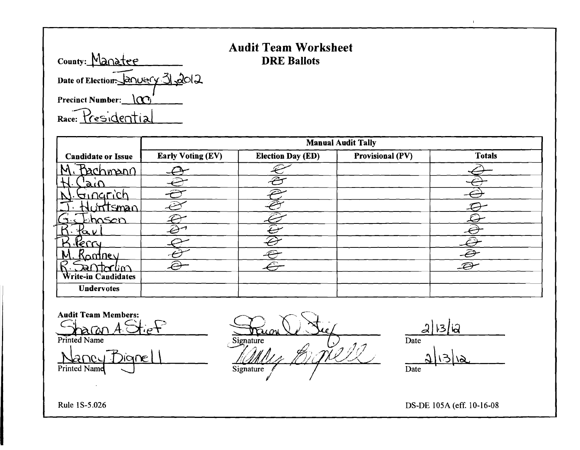|                    | <b>Audit Team Worksheet</b> |
|--------------------|-----------------------------|
| <b>DRE Ballots</b> |                             |

county: Manatee \_\_\_<br>---<sup>---</sup> Date of Electiorr:JanU~rV:3\ )dol;l Precinct Number:  $\Omega$ Race: Presidentia

|                           | <b>Manual Audit Tally</b> |                          |                         |                      |  |  |  |  |
|---------------------------|---------------------------|--------------------------|-------------------------|----------------------|--|--|--|--|
| <b>Candidate or Issue</b> | <b>Early Voting (EV)</b>  | <b>Election Day (ED)</b> | <b>Provisional (PV)</b> | <b>Totals</b>        |  |  |  |  |
| <u>Sachmann</u>           |                           |                          |                         |                      |  |  |  |  |
| $\alpha$                  |                           | œ                        |                         |                      |  |  |  |  |
| <u>onnarich</u>           |                           |                          |                         |                      |  |  |  |  |
| rtsman                    |                           |                          |                         |                      |  |  |  |  |
| khasen                    |                           |                          |                         |                      |  |  |  |  |
| へい                        |                           |                          |                         | $\bar{\mathcal{Q}}$  |  |  |  |  |
| Kerry                     |                           |                          |                         |                      |  |  |  |  |
| Kampey                    |                           | œ                        |                         | $\ddot{\mathcal{D}}$ |  |  |  |  |
| Traction<br>RI            | ∕                         |                          |                         | $\mathcal{L}$        |  |  |  |  |
| Write-in Candidates       |                           |                          |                         |                      |  |  |  |  |
| <b>Undervotes</b>         |                           |                          |                         |                      |  |  |  |  |

Audit Team Members:<br>3-aron A. Strinted Name <u>2|13/12</u>  $Signature$ Date aneu Digne  $\frac{2|13|12}{\text{Date}}$ Printed Name Signature

Rule 1S-5.026 DS-DE 105A (eff. 10-16-08

 $\mathbf{L}^{\mathbf{r}}$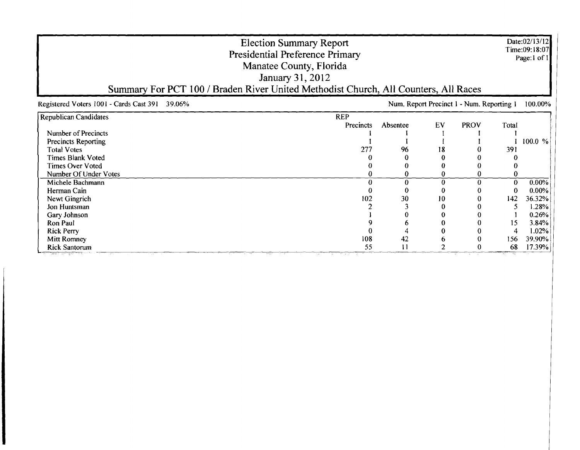|                                                | <b>Election Summary Report</b><br>Presidential Preference Primary<br>Manatee County, Florida<br>January 31, 2012<br>Summary For PCT 100 / Braden River United Methodist Church, All Counters, All Races |               |                                           |             |       | Date:02/13/12<br>Time:09:18:07<br>Page:1 of 1 |
|------------------------------------------------|---------------------------------------------------------------------------------------------------------------------------------------------------------------------------------------------------------|---------------|-------------------------------------------|-------------|-------|-----------------------------------------------|
| Registered Voters 1001 - Cards Cast 391 39.06% |                                                                                                                                                                                                         |               | Num. Report Precinct 1 - Num. Reporting 1 |             |       | 100.00%                                       |
| <b>Republican Candidates</b>                   | <b>REP</b>                                                                                                                                                                                              |               |                                           |             |       |                                               |
|                                                | Precincts                                                                                                                                                                                               | Absentee      | EV                                        | <b>PROV</b> | Total |                                               |
| Number of Precincts                            |                                                                                                                                                                                                         |               |                                           |             |       |                                               |
| <b>Precincts Reporting</b>                     |                                                                                                                                                                                                         |               |                                           |             |       | 100.0 %                                       |
| <b>Total Votes</b>                             | 277                                                                                                                                                                                                     | 96            | 18                                        |             | 391   |                                               |
| <b>Times Blank Voted</b>                       |                                                                                                                                                                                                         |               |                                           |             |       |                                               |
| <b>Times Over Voted</b>                        |                                                                                                                                                                                                         |               |                                           |             |       |                                               |
| Number Of Under Votes                          |                                                                                                                                                                                                         |               | 0                                         |             |       |                                               |
| Michele Bachmann                               |                                                                                                                                                                                                         |               | 0                                         |             | 0     | 0.00%                                         |
| Herman Cain                                    |                                                                                                                                                                                                         |               |                                           |             | 0     | $0.00\%$                                      |
| Newt Gingrich                                  | 102                                                                                                                                                                                                     | 30            | 10                                        |             | 142   | 36.32%                                        |
| Jon Huntsman                                   |                                                                                                                                                                                                         |               |                                           |             |       | 1.28%                                         |
| Gary Johnson                                   |                                                                                                                                                                                                         |               |                                           |             |       | 0.26%                                         |
| Ron Paul                                       |                                                                                                                                                                                                         |               |                                           |             | 15    | 3.84%                                         |
| <b>Rick Perry</b>                              |                                                                                                                                                                                                         |               |                                           |             | 4     | 1.02%                                         |
| Mitt Romney                                    | 108                                                                                                                                                                                                     | 42            |                                           |             | 156   | 39.90%                                        |
| <b>Rick Santorum</b>                           | 55<br>in a mar                                                                                                                                                                                          | $\mathbf{11}$ |                                           |             | 68    | 17.39%                                        |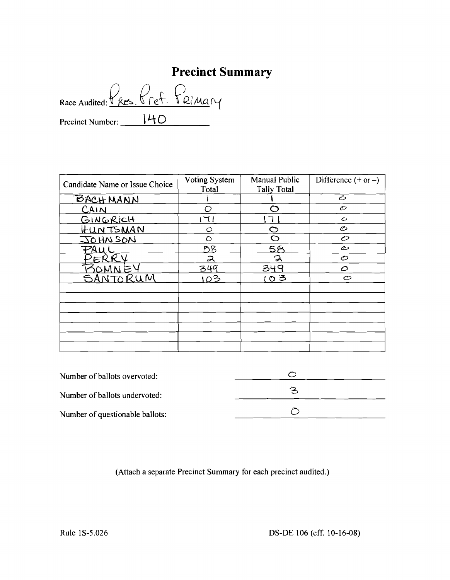# **Precinct Summary**

Race Audited: <u>Pres. Pref.</u> Primary Precinct Number: ---'---'------ **\t.-tO**

| Candidate Name or Issue Choice | <b>Voting System</b><br>Total | <b>Manual Public</b><br><b>Tally Total</b> | Difference $(+ or -)$ |
|--------------------------------|-------------------------------|--------------------------------------------|-----------------------|
| <u>BACHMANN</u>                |                               |                                            | Õ                     |
| CAIN                           | O                             | ⌒                                          | $\mathcal{O}$         |
| GINGRICH                       | 71                            |                                            | $\mathcal{O}$         |
| <u>HUNTSMAN</u>                | Ò                             | 冖                                          | Ô                     |
| JOHN SON                       | O                             | C                                          | $\mathcal{O}$         |
| <b>PAU</b>                     | 58                            | 58                                         | ©                     |
| 'ERR                           | ス                             | ス                                          | $\mathcal{O}$         |
|                                | 349                           | 349                                        | $\circ$               |
| SANTORUM                       | 103                           | 103                                        | $\circ$               |
|                                |                               |                                            |                       |
|                                |                               |                                            |                       |
|                                |                               |                                            |                       |
|                                |                               |                                            |                       |
|                                |                               |                                            |                       |
|                                |                               |                                            |                       |
|                                |                               |                                            |                       |

| Number of ballots overvoted:    |   |  |
|---------------------------------|---|--|
| Number of ballots undervoted:   | へ |  |
| Number of questionable ballots: |   |  |

(Attach a separate Precinct Summary for each precinct audited.)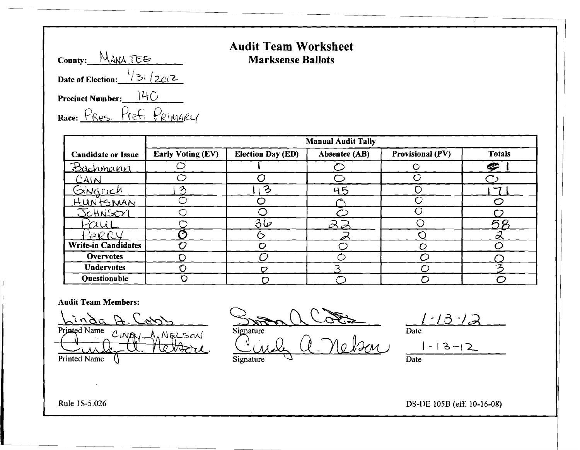|                  | <b>Audit Team Worksheet</b> |
|------------------|-----------------------------|
| County: MANA TEE | <b>Marksense Ballots</b>    |

| County: MANA TEE                       |  |
|----------------------------------------|--|
| Date of Election: $\frac{1}{3}$ / 2012 |  |
| Precinct Number: 140                   |  |
| Race: PRES. Pref. PRIMARY              |  |

|                            | <b>Manual Audit Tally</b> |                          |                         |                         |               |  |  |
|----------------------------|---------------------------|--------------------------|-------------------------|-------------------------|---------------|--|--|
| <b>Candidate or Issue</b>  | <b>Early Voting (EV)</b>  | <b>Election Day (ED)</b> | Absentee (AB)           | <b>Provisional (PV)</b> | <b>Totals</b> |  |  |
| Bachmann                   |                           |                          |                         |                         | €             |  |  |
| CAIN                       |                           |                          |                         |                         |               |  |  |
| Gingrich                   |                           | 3                        | 45                      |                         |               |  |  |
| <u>HUNTSMAN</u>            |                           |                          |                         |                         |               |  |  |
| JOHNSOY                    |                           |                          |                         |                         |               |  |  |
| -aui                       |                           | $3\overline{6}$          | $\partial \overline{z}$ |                         | 58            |  |  |
| $'\!\!\varphi\mathcal{R}R$ |                           |                          |                         |                         | Ω             |  |  |
| <b>Write-in Candidates</b> |                           |                          |                         |                         |               |  |  |
| <b>Overvotes</b>           |                           |                          |                         |                         |               |  |  |
| <b>Undervotes</b>          |                           |                          |                         |                         |               |  |  |
| Questionable               |                           |                          |                         |                         |               |  |  |

#### Audit Team Members:

Linda Printed Name  $C$ INAY NELSON Printed Name

Stran a Cote Signature  $Qual, Q$  neben 1-13-12

 $1 - 13 - 12$ Date

 $\mathbf{r}$ 

Signature  $\sqrt{ }$  Date

Rule 1S-5.026 DS-DE 105B (eff. 10-16-08)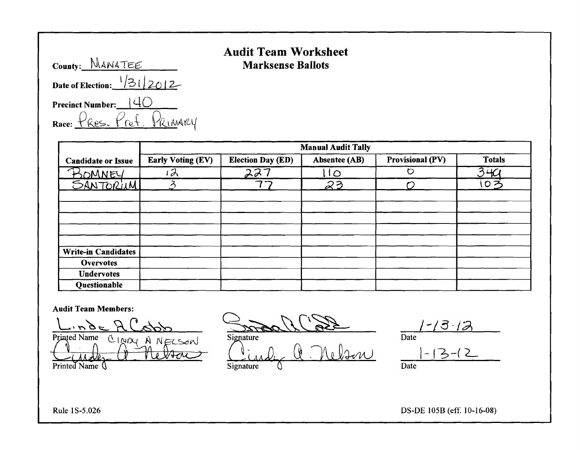| County: MANATEE                       |  |
|---------------------------------------|--|
| Date of Election: $\frac{1}{31}$ 2012 |  |
| Precinct Number: $\bigcup \{ \bigcup$ |  |
| Race: PRES. Pref. PRIMARY             |  |

## Audit Team Worksheet Marksense Ballots

|                            | <b>Manual Audit Tally</b> |                          |               |                         |               |  |  |
|----------------------------|---------------------------|--------------------------|---------------|-------------------------|---------------|--|--|
| <b>Candidate or Issue</b>  | <b>Early Voting (EV)</b>  | <b>Election Day (ED)</b> | Absentee (AB) | <b>Provisional (PV)</b> | <b>Totals</b> |  |  |
|                            | $\partial$                | 227                      | $1\circ$      | $\circ$                 | 340           |  |  |
| BOMNEY<br>SANTORIUM        | ζ                         |                          | 23            |                         | いろ            |  |  |
|                            |                           |                          |               |                         |               |  |  |
|                            |                           |                          |               |                         |               |  |  |
|                            |                           |                          |               |                         |               |  |  |
|                            |                           |                          |               |                         |               |  |  |
|                            |                           |                          |               |                         |               |  |  |
| <b>Write-in Candidates</b> |                           |                          |               |                         |               |  |  |
| <b>Overvotes</b>           |                           |                          |               |                         |               |  |  |
| <b>Undervotes</b>          |                           |                          |               |                         |               |  |  |
| <b>Questionable</b>        |                           |                          |               |                         |               |  |  |

#### Audit Team Members:

Printed Name CINDY A NECSON Printed Name (

 $\frac{1-13-12}{\text{Signature}}$   $\frac{1-13-12}{\text{Date}}$ 

Signature Date<br>Signature ( Nelson Date<br>Signature ( Nelson Date  $s_{in}$  (1) Melson  $1-13-12$ 

Date

Rule 1S-5.026 DS-DE 105H (eff. 10-16-08)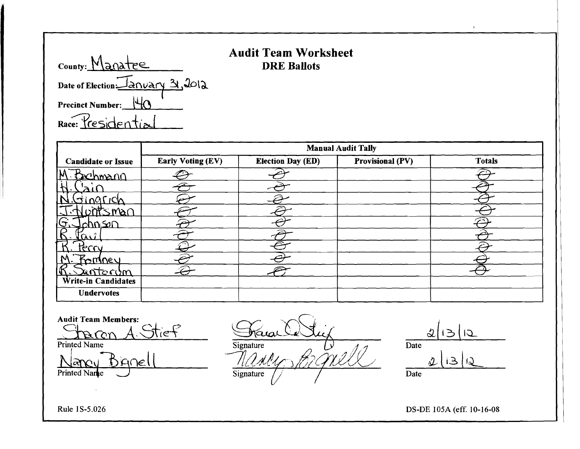| County: Manatee       |
|-----------------------|
| Date of Election 2012 |
| Precinct Number: 46   |
| Race: Presidential    |

## **Audit Team Worksheet**  DRE Ballots

|                               | <b>Manual Audit Tally</b> |                          |                         |               |  |  |  |
|-------------------------------|---------------------------|--------------------------|-------------------------|---------------|--|--|--|
| <b>Candidate or Issue</b>     | <b>Early Voting (EV)</b>  | <b>Election Day (ED)</b> | <b>Provisional (PV)</b> | <b>Totals</b> |  |  |  |
| .N<br><u>Sechmann</u>         |                           |                          |                         |               |  |  |  |
|                               |                           |                          |                         |               |  |  |  |
|                               |                           |                          |                         |               |  |  |  |
| tsman                         |                           |                          |                         |               |  |  |  |
| (၁<br>$\alpha$ hn So $\Omega$ |                           |                          |                         |               |  |  |  |
| ac.                           |                           |                          |                         |               |  |  |  |
| Prru                          |                           | ⊝                        |                         |               |  |  |  |
| <u>Fonney</u><br>M            |                           |                          |                         |               |  |  |  |
| I۴<br><u>untorym</u>          |                           |                          |                         |               |  |  |  |
| Write-in Candidates           |                           |                          |                         |               |  |  |  |
| <b>Undervotes</b>             |                           |                          |                         |               |  |  |  |

Audit Team Members: <u> Staren A. Stief</u>  $\overline{\phantom{0}}$ Printed Name Nancy Bignell France Stif  $\overline{a}$ Signature *1/24!ifeV8zfWJ'j* Signature  $2|3|0$  $rac{2}{\text{Date}}$  $2|$  13 Date

Rule IS-5.026

DS-DE 105A (eff. 10-16-08

 $\mathbf{r}$